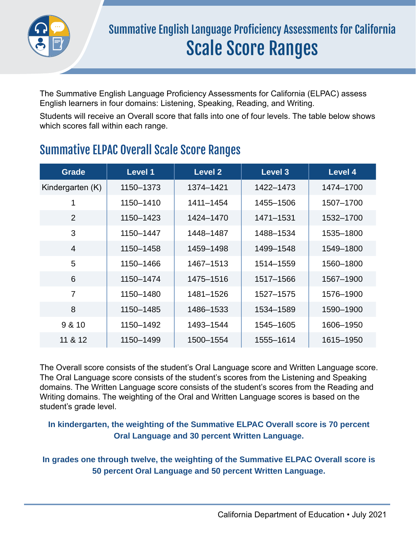

The Summative English Language Proficiency Assessments for California (ELPAC) assess English learners in four domains: Listening, Speaking, Reading, and Writing.

Students will receive an Overall score that falls into one of four levels. The table below shows which scores fall within each range.

| <b>Grade</b>     | <b>Level 1</b> | <b>Level 2</b> | <b>Level 3</b> | <b>Level 4</b> |
|------------------|----------------|----------------|----------------|----------------|
| Kindergarten (K) | 1150-1373      | 1374-1421      | 1422-1473      | 1474-1700      |
| 1                | 1150-1410      | 1411-1454      | 1455-1506      | 1507-1700      |
| $\overline{2}$   | 1150-1423      | 1424-1470      | 1471-1531      | 1532-1700      |
| 3                | 1150-1447      | 1448-1487      | 1488-1534      | 1535-1800      |
| $\overline{4}$   | 1150-1458      | 1459-1498      | 1499-1548      | 1549-1800      |
| 5                | 1150-1466      | 1467-1513      | 1514-1559      | 1560-1800      |
| 6                | 1150-1474      | 1475-1516      | 1517-1566      | 1567-1900      |
| $\overline{7}$   | 1150-1480      | 1481-1526      | 1527-1575      | 1576-1900      |
| 8                | 1150-1485      | 1486-1533      | 1534-1589      | 1590-1900      |
| 9 & 10           | 1150-1492      | 1493-1544      | 1545-1605      | 1606-1950      |
| 11 & 12          | 1150-1499      | 1500-1554      | 1555-1614      | 1615-1950      |

### Summative ELPAC Overall Scale Score Ranges

The Overall score consists of the student's Oral Language score and Written Language score. The Oral Language score consists of the student's scores from the Listening and Speaking domains. The Written Language score consists of the student's scores from the Reading and Writing domains. The weighting of the Oral and Written Language scores is based on the student's grade level.

#### **In kindergarten, the weighting of the Summative ELPAC Overall score is 70 percent Oral Language and 30 percent Written Language.**

#### **In grades one through twelve, the weighting of the Summative ELPAC Overall score is 50 percent Oral Language and 50 percent Written Language.**